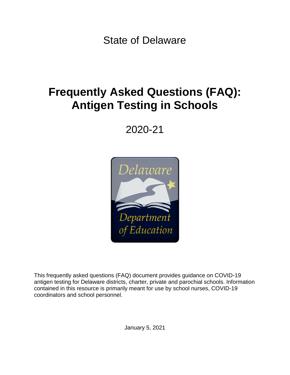State of Delaware

# **Frequently Asked Questions (FAQ): Antigen Testing in Schools**

# 2020-21



This frequently asked questions (FAQ) document provides guidance on COVID-19 antigen testing for Delaware districts, charter, private and parochial schools. Information contained in this resource is primarily meant for use by school nurses, COVID-19 coordinators and school personnel.

January 5, 2021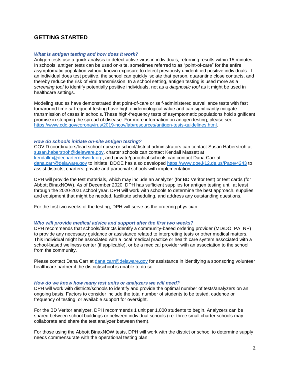# **GETTING STARTED**

# *What is antigen testing and how does it work?*

Antigen tests use a quick analysis to detect active virus in individuals, returning results within 15 minutes. In schools, antigen tests can be used on-site, sometimes referred to as "point-of-care" for the entire asymptomatic population without known exposure to detect previously unidentified positive individuals. If an individual does test positive, the school can quickly isolate that person, quarantine close contacts, and thereby reduce the risk of viral transmission. In a school setting, antigen testing is used more as a *screening tool* to identify potentially positive individuals, not as a *diagnostic tool* as it might be used in healthcare settings.

Modeling studies have demonstrated that point-of-care or self-administered surveillance tests with fast turnaround time *or* frequent testing have high epidemiological value and can significantly mitigate transmission of cases in schools. These high-frequency tests of asymptomatic populations hold significant promise in stopping the spread of disease. For more information on antigen testing, please see: [https://www.cdc.gov/coronavirus/2019-ncov/lab/resources/antigen-tests-guidelines.html.](https://www.cdc.gov/coronavirus/2019-ncov/lab/resources/antigen-tests-guidelines.html)

# *How do schools initiate on-site antigen testing?*

COVID coordinators/lead school nurse or school/district administrators can contact Susan Haberstroh at [susan.haberstroh@delaware.gov,](mailto:susan.haberstroh@delaware.gov) charter schools can contact Kendall Massett at [kendallm@decharternetwork.org,](mailto:kendallm@decharternetwork.org) and private/parochial schools can contact Dana Carr at [dana.carr@delaware.gov](mailto:dana.carr@delaware.gov) to initiate. DDOE has also developed<https://www.doe.k12.de.us/Page/4243> to assist districts, charters, private and parochial schools with implementation.

DPH will provide the test materials, which may include an analyzer (for BD Veritor test) or test cards (for Abbott BinaxNOW). As of December 2020, DPH has sufficient supplies for antigen testing until at least through the 2020-2021 school year. DPH will work with schools to determine the best approach, supplies and equipment that might be needed, facilitate scheduling, and address any outstanding questions.

For the first two weeks of the testing, DPH will serve as the ordering physician.

# *Who will provide medical advice and support after the first two weeks?*

DPH recommends that schools/districts identify a community-based ordering provider (MD/DO, PA, NP) to provide any necessary guidance or assistance related to interpreting tests or other medical matters. This individual might be associated with a local medical practice or health care system associated with a school-based wellness center (if applicable), or be a medical provider with an association to the school from the community.

Please contact Dana Carr at [dana.carr@delaware.gov](mailto:dana.carr@delaware.gov) for assistance in identifying a sponsoring volunteer healthcare partner if the district/school is unable to do so.

# *How do we know how many test units or analyzers we will need?*

DPH will work with districts/schools to identify and provide the optimal number of tests/analyzers on an ongoing basis. Factors to consider include the total number of students to be tested, cadence or frequency of testing, or available support for oversight.

For the BD Veritor analyzer, DPH recommends 1 unit per 1,000 students to begin. Analyzers can be shared between school buildings or between individual schools (i.e. three small charter schools may collaborate and share the test analyzer between them).

For those using the Abbott BinaxNOW tests, DPH will work with the district or school to determine supply needs commensurate with the operational testing plan.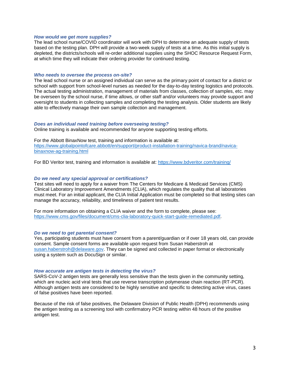## *How would we get more supplies?*

The lead school nurse/COVID coordinator will work with DPH to determine an adequate supply of tests based on the testing plan. DPH will provide a two-week supply of tests at a time. As this initial supply is depleted, the districts/schools will re-order additional supplies using the SHOC Resource Request Form, at which time they will indicate their ordering provider for continued testing.

## *Who needs to oversee the process on-site?*

The lead school nurse or an assigned individual can serve as the primary point of contact for a district or school with support from school-level nurses as needed for the day-to-day testing logistics and protocols. The actual testing administration, management of materials from classes, collection of samples, etc. may be overseen by the school nurse, if time allows, or other staff and/or volunteers may provide support and oversight to students in collecting samples and completing the testing analysis. Older students are likely able to effectively manage their own sample collection and management.

# *Does an individual need training before overseeing testing?*

Online training is available and recommended for anyone supporting testing efforts.

For the Abbott BinaxNow test, training and information is available at: [https://www.globalpointofcare.abbott/en/support/product-installation-training/navica-brand/navica](https://www.globalpointofcare.abbott/en/support/product-installation-training/navica-brand/navica-binaxnow-ag-training.html)[binaxnow-ag-training.html](https://www.globalpointofcare.abbott/en/support/product-installation-training/navica-brand/navica-binaxnow-ag-training.html)

For BD Veritor test, training and information is available at:<https://www.bdveritor.com/training/>

# *Do we need any special approval or certifications?*

Test sites will need to apply for a waiver from The Centers for Medicare & Medicaid Services (CMS) Clinical Laboratory Improvement Amendments (CLIA), which regulates the quality that all laboratories must meet. For an initial applicant, the CLIA Initial Application must be completed so that testing sites can manage the accuracy, reliability, and timeliness of patient test results.

For more information on obtaining a CLIA waiver and the form to complete, please see: [https://www.cms.gov/files/document/cms-clia-laboratory-quick-start-guide-remediated.pdf.](https://www.cms.gov/files/document/cms-clia-laboratory-quick-start-guide-remediated.pdf)

## *Do we need to get parental consent?*

Yes, participating students must have consent from a parent/guardian or if over 18 years old, can provide consent. Sample consent forms are available upon request from Susan Haberstroh at [susan.haberstroh@delaware.gov.](mailto:susan.haberstroh@delaware.gov) They can be signed and collected in paper format or electronically using a system such as DocuSign or similar.

## *How accurate are antigen tests in detecting the virus?*

SARS-CoV-2 antigen tests are generally less sensitive than the tests given in the community setting, which are nucleic acid viral tests that use reverse transcription polymerase chain reaction (RT-PCR). Although antigen tests are considered to be highly sensitive and specific to detecting active virus, cases of false positives have been reported.

Because of the risk of false positives, the Delaware Division of Public Health (DPH) recommends using the antigen testing as a screening tool with confirmatory PCR testing within 48 hours of the positive antigen test.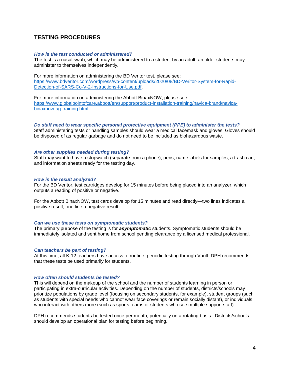# **TESTING PROCEDURES**

## *How is the test conducted or administered?*

The test is a nasal swab, which may be administered to a student by an adult; an older students may administer to themselves independently.

For more information on administering the BD Veritor test, please see: [https://www.bdveritor.com/wordpress/wp-content/uploads/2020/08/BD-Veritor-System-for-Rapid-](https://www.bdveritor.com/wordpress/wp-content/uploads/2020/08/BD-Veritor-System-for-Rapid-Detection-of-SARS-Co-V-2-Instructions-for-Use.pdf)[Detection-of-SARS-Co-V-2-Instructions-for-Use.pdf.](https://www.bdveritor.com/wordpress/wp-content/uploads/2020/08/BD-Veritor-System-for-Rapid-Detection-of-SARS-Co-V-2-Instructions-for-Use.pdf)

For more information on administering the Abbott BinaxNOW, please see: [https://www.globalpointofcare.abbott/en/support/product-installation-training/navica-brand/navica](https://www.globalpointofcare.abbott/en/support/product-installation-training/navica-brand/navica-binaxnow-ag-training.html)[binaxnow-ag-training.html.](https://www.globalpointofcare.abbott/en/support/product-installation-training/navica-brand/navica-binaxnow-ag-training.html)

## *Do staff need to wear specific personal protective equipment (PPE) to administer the tests?*

Staff administering tests or handling samples should wear a medical facemask and gloves. Gloves should be disposed of as regular garbage and do not need to be included as biohazardous waste.

## *Are other supplies needed during testing?*

Staff may want to have a stopwatch (separate from a phone), pens, name labels for samples, a trash can, and information sheets ready for the testing day.

## *How is the result analyzed?*

For the BD Veritor, test cartridges develop for 15 minutes before being placed into an analyzer, which outputs a reading of positive or negative.

For the Abbott BinaxNOW, test cards develop for 15 minutes and read directly—two lines indicates a positive result, one line a negative result.

## *Can we use these tests on symptomatic students?*

The primary purpose of the testing is for *asymptomatic* students. Symptomatic students should be immediately isolated and sent home from school pending clearance by a licensed medical professional.

## *Can teachers be part of testing?*

At this time, all K-12 teachers have access to routine, periodic testing through Vault. DPH recommends that these tests be used primarily for students.

## *How often should students be tested?*

This will depend on the makeup of the school and the number of students learning in person or participating in extra-curricular activities. Depending on the number of students, districts/schools may prioritize populations by grade level (focusing on secondary students, for example), student groups (such as students with special needs who cannot wear face coverings or remain socially distant), or individuals who interact with others more (such as sports teams or students who see multiple support staff).

DPH recommends students be tested once per month, potentially on a rotating basis. Districts/schools should develop an operational plan for testing before beginning.